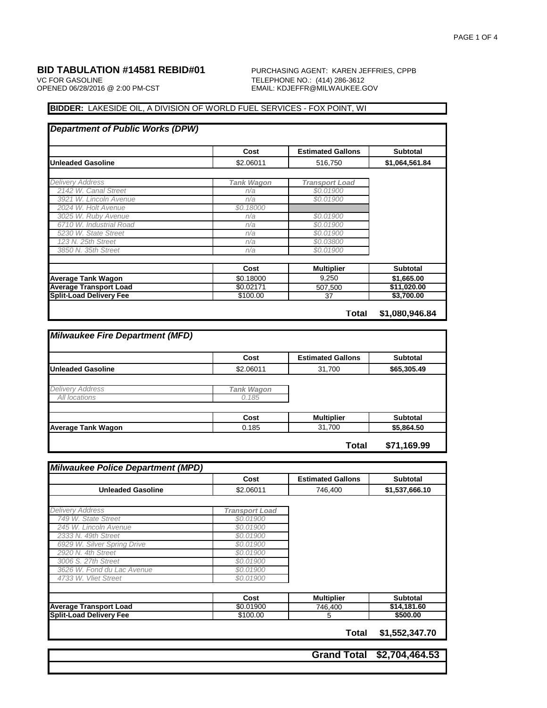VC FOR GASOLINE TELEPHONE NO.: (414) 286-3612

# **BID TABULATION #14581 REBID#01** PURCHASING AGENT: KAREN JEFFRIES, CPPB VC FOR GASOLINE EMAIL: KDJEFFR@MILWAUKEE.GOV

## **BIDDER:** LAKESIDE OIL, A DIVISION OF WORLD FUEL SERVICES - FOX POINT, WI

|                                | Cost              | <b>Estimated Gallons</b> | <b>Subtotal</b> |
|--------------------------------|-------------------|--------------------------|-----------------|
| Unleaded Gasoline              | \$2.06011         | 516.750                  | \$1,064,561.84  |
| <b>Delivery Address</b>        | <b>Tank Wagon</b> | <b>Transport Load</b>    |                 |
| 2142 W. Canal Street           | n/a               | \$0.01900                |                 |
| 3921 W. Lincoln Avenue         | n/a               | \$0.01900                |                 |
| 2024 W. Holt Avenue            | \$0.18000         |                          |                 |
| 3025 W. Ruby Avenue            | n/a               | \$0.01900                |                 |
| 6710 W. Industrial Road        | n/a               | \$0.01900                |                 |
| 5230 W. State Street           | n/a               | \$0.01900                |                 |
| 123 N. 25th Street             | n/a               | \$0.03800                |                 |
| 3850 N. 35th Street            | n/a               | \$0.01900                |                 |
|                                | Cost              | <b>Multiplier</b>        | <b>Subtotal</b> |
| <b>Average Tank Wagon</b>      | \$0.18000         | 9,250                    | \$1,665.00      |
| <b>Average Transport Load</b>  | \$0.02171         | 507,500                  | \$11,020.00     |
| <b>Split-Load Delivery Fee</b> | \$100.00          | 37                       | \$3,700.00      |

|                           | Cost              | <b>Estimated Gallons</b> | <b>Subtotal</b> |
|---------------------------|-------------------|--------------------------|-----------------|
| <b>Unleaded Gasoline</b>  | \$2.06011         | 31,700                   | \$65,305.49     |
|                           |                   |                          |                 |
| <b>Delivery Address</b>   | <b>Tank Wagon</b> |                          |                 |
| All locations             | 0.185             |                          |                 |
|                           |                   |                          |                 |
|                           | Cost              | <b>Multiplier</b>        | <b>Subtotal</b> |
| <b>Average Tank Wagon</b> | 0.185             | 31,700                   | \$5,864.50      |

|                                | Cost                  | <b>Estimated Gallons</b> | <b>Subtotal</b> |
|--------------------------------|-----------------------|--------------------------|-----------------|
| <b>Unleaded Gasoline</b>       | \$2.06011             | 746,400                  | \$1,537,666.10  |
|                                |                       |                          |                 |
| <b>Delivery Address</b>        | <b>Transport Load</b> |                          |                 |
| 749 W. State Street            | \$0.01900             |                          |                 |
| 245 W. Lincoln Avenue          | \$0.01900             |                          |                 |
| 2333 N. 49th Street            | \$0.01900             |                          |                 |
| 6929 W. Silver Spring Drive    | \$0.01900             |                          |                 |
| 2920 N. 4th Street             | \$0.01900             |                          |                 |
| 3006 S. 27th Street            | \$0.01900             |                          |                 |
| 3626 W. Fond du Lac Avenue     | \$0.01900             |                          |                 |
| 4733 W. Vliet Street           | \$0.01900             |                          |                 |
|                                |                       |                          |                 |
|                                | Cost                  | <b>Multiplier</b>        | <b>Subtotal</b> |
| <b>Average Transport Load</b>  | \$0.01900             | 746,400                  | \$14,181.60     |
| <b>Split-Load Delivery Fee</b> | \$100.00              | 5                        | \$500.00        |

**Grand Total \$2,704,464.53**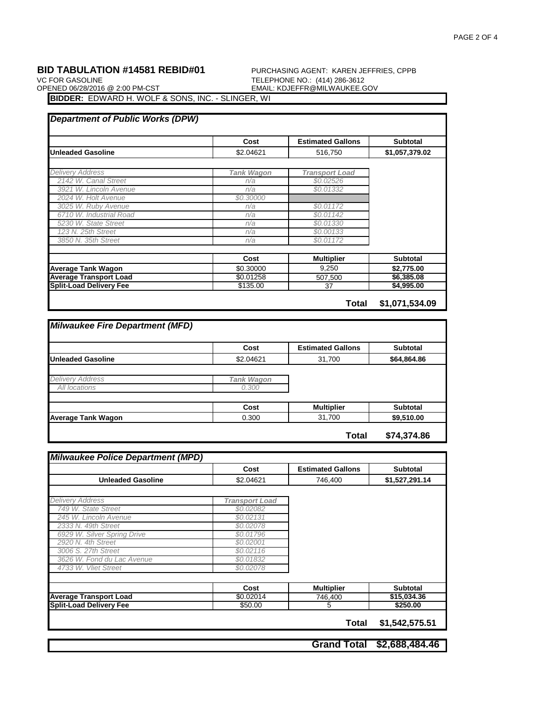VC FOR GASOLINE<br>OP<u>ENED 06/28/2016 @ 2:00 PM-CST</u> TELEPHONE NO.: (414) 286-3612<br>EMAIL: KDJEFFR@MILWAUKEE.G

**BID TABULATION #14581 REBID#01** PURCHASING AGENT: KAREN JEFFRIES, CPPB VC FOR GASOLINE EMAIL: KDJEFFR@MILWAUKEE.GOV

**BIDDER:** EDWARD H. WOLF & SONS, INC. - SLINGER, WI

|                                | Cost              | <b>Estimated Gallons</b> | <b>Subtotal</b> |
|--------------------------------|-------------------|--------------------------|-----------------|
| <b>Unleaded Gasoline</b>       | \$2.04621         | 516,750                  | \$1,057,379.02  |
| <b>Delivery Address</b>        | <b>Tank Wagon</b> | <b>Transport Load</b>    |                 |
| 2142 W. Canal Street           | n/a               | \$0.02526                |                 |
| 3921 W. Lincoln Avenue         | n/a               | \$0.01332                |                 |
| 2024 W. Holt Avenue            | \$0,30000         |                          |                 |
| 3025 W. Ruby Avenue            | n/a               | \$0.01172                |                 |
| 6710 W. Industrial Road        | n/a               | \$0.01142                |                 |
| 5230 W. State Street           | n/a               | \$0.01330                |                 |
| 123 N. 25th Street             | n/a               | \$0,00133                |                 |
| 3850 N. 35th Street            | n/a               | \$0.01172                |                 |
|                                | Cost              | <b>Multiplier</b>        | <b>Subtotal</b> |
| <b>Average Tank Wagon</b>      | \$0.30000         | 9,250                    | \$2,775.00      |
| <b>Average Transport Load</b>  | \$0.01258         | 507.500                  | \$6,385.08      |
| <b>Split-Load Delivery Fee</b> | \$135.00          | 37                       | \$4,995.00      |

|                          | Cost              | <b>Estimated Gallons</b> | <b>Subtotal</b> |
|--------------------------|-------------------|--------------------------|-----------------|
| <b>Unleaded Gasoline</b> | \$2.04621         | 31,700                   | \$64,864.86     |
|                          |                   |                          |                 |
| <b>Delivery Address</b>  | <b>Tank Wagon</b> |                          |                 |
| All locations            | 0.300             |                          |                 |
|                          |                   |                          |                 |
|                          | Cost              | <b>Multiplier</b>        | <b>Subtotal</b> |
|                          |                   |                          |                 |

|                                | Cost                  | <b>Estimated Gallons</b> | <b>Subtotal</b> |
|--------------------------------|-----------------------|--------------------------|-----------------|
| <b>Unleaded Gasoline</b>       | \$2.04621             | 746,400                  | \$1,527,291.14  |
|                                |                       |                          |                 |
| <b>Delivery Address</b>        | <b>Transport Load</b> |                          |                 |
| 749 W. State Street            | \$0.02082             |                          |                 |
| 245 W. Lincoln Avenue          | \$0.02131             |                          |                 |
| 2333 N. 49th Street            | \$0.02078             |                          |                 |
| 6929 W. Silver Spring Drive    | \$0.01796             |                          |                 |
| 2920 N. 4th Street             | \$0.02001             |                          |                 |
| 3006 S. 27th Street            | \$0.02116             |                          |                 |
| 3626 W. Fond du Lac Avenue     | \$0.01832             |                          |                 |
| 4733 W. Vliet Street           | \$0.02078             |                          |                 |
|                                |                       |                          |                 |
|                                | Cost                  | <b>Multiplier</b>        | <b>Subtotal</b> |
| <b>Average Transport Load</b>  | \$0.02014             | 746,400                  | \$15,034.36     |
| <b>Split-Load Delivery Fee</b> | \$50.00               | 5                        | \$250.00        |
|                                |                       |                          |                 |
|                                |                       | Total                    | \$1,542,575.51  |
|                                |                       |                          |                 |
|                                |                       | <b>Grand Total</b>       | \$2,688,484.46  |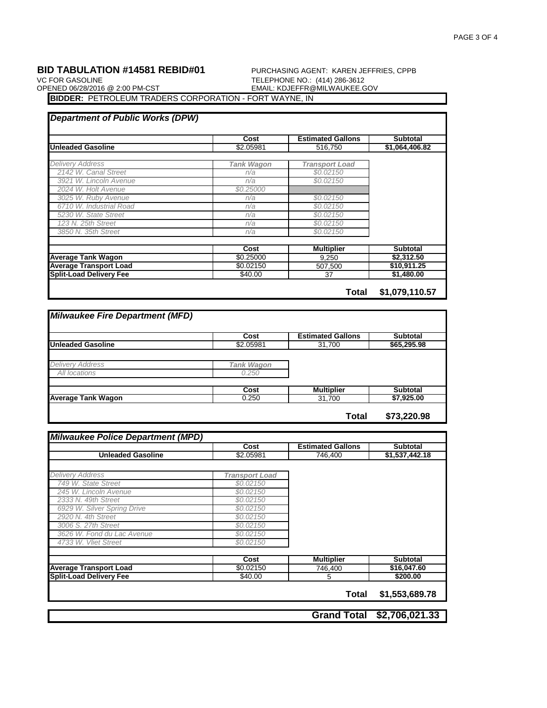### **BID TABULATION #14581 REBID#01** PURCHASING AGENT: KAREN JEFFRIES, CPPB VC FOR GASOLINE VC FOR GASOLINE<br>OP<u>ENED 06/28/2016 @ 2:00 PM-CST</u> TELEPHONE NO.: (414) 286-3612<br>EMAIL: KDJEFFR@MILWAUKEE.G EMAIL: KDJEFFR@MILWAUKEE.GOV

**BIDDER:** PETROLEUM TRADERS CORPORATION - FORT WAYNE, IN

|                                | Cost              | <b>Estimated Gallons</b> | <b>Subtotal</b> |
|--------------------------------|-------------------|--------------------------|-----------------|
| <b>Unleaded Gasoline</b>       | \$2.05981         | 516.750                  | \$1,064,406.82  |
| <b>Delivery Address</b>        | <b>Tank Wagon</b> | <b>Transport Load</b>    |                 |
| 2142 W. Canal Street           | n/a               | \$0.02150                |                 |
| 3921 W. Lincoln Avenue         | n/a               | \$0.02150                |                 |
| 2024 W. Holt Avenue            | \$0.25000         |                          |                 |
| 3025 W. Ruby Avenue            | n/a               | \$0.02150                |                 |
| 6710 W. Industrial Road        | n/a               | \$0.02150                |                 |
| 5230 W. State Street           | n/a               | \$0.02150                |                 |
| 123 N. 25th Street             | n/a               | \$0.02150                |                 |
| 3850 N. 35th Street            | n/a               | \$0.02150                |                 |
|                                | Cost              | <b>Multiplier</b>        | <b>Subtotal</b> |
| <b>Average Tank Wagon</b>      | \$0.25000         | 9,250                    | \$2,312.50      |
| <b>Average Transport Load</b>  | \$0.02150         | 507.500                  | \$10,911.25     |
| <b>Split-Load Delivery Fee</b> | \$40.00           | 37                       | \$1,480.00      |

**Total \$1,079,110.57**

|                           | Cost              | <b>Estimated Gallons</b> | <b>Subtotal</b> |
|---------------------------|-------------------|--------------------------|-----------------|
| <b>Unleaded Gasoline</b>  | \$2.05981         | 31,700                   | \$65,295.98     |
|                           |                   |                          |                 |
| <b>Delivery Address</b>   | <b>Tank Wagon</b> |                          |                 |
| All locations             | 0.250             |                          |                 |
|                           |                   |                          |                 |
|                           | Cost              | <b>Multiplier</b>        | <b>Subtotal</b> |
| <b>Average Tank Wagon</b> | 0.250             | 31,700                   | \$7,925.00      |

|                                | Cost                  | <b>Estimated Gallons</b> | <b>Subtotal</b> |
|--------------------------------|-----------------------|--------------------------|-----------------|
| <b>Unleaded Gasoline</b>       | \$2.05981             | 746,400                  | \$1,537,442.18  |
|                                |                       |                          |                 |
| <b>Delivery Address</b>        | <b>Transport Load</b> |                          |                 |
| 749 W. State Street            | \$0.02150             |                          |                 |
| 245 W. Lincoln Avenue          | \$0.02150             |                          |                 |
| 2333 N. 49th Street            | \$0.02150             |                          |                 |
| 6929 W. Silver Spring Drive    | \$0.02150             |                          |                 |
| 2920 N. 4th Street             | \$0.02150             |                          |                 |
| 3006 S. 27th Street            | \$0.02150             |                          |                 |
| 3626 W. Fond du Lac Avenue     | \$0.02150             |                          |                 |
| 4733 W. Vliet Street           | \$0.02150             |                          |                 |
|                                | Cost                  | <b>Multiplier</b>        | <b>Subtotal</b> |
| <b>Average Transport Load</b>  | \$0.02150             | 746,400                  | \$16,047.60     |
| <b>Split-Load Delivery Fee</b> | \$40.00               | 5                        | \$200.00        |
|                                |                       |                          |                 |
|                                |                       | Total                    | \$1,553,689.78  |
|                                |                       |                          |                 |
|                                |                       | <b>Grand Total</b>       | \$2,706,021.33  |